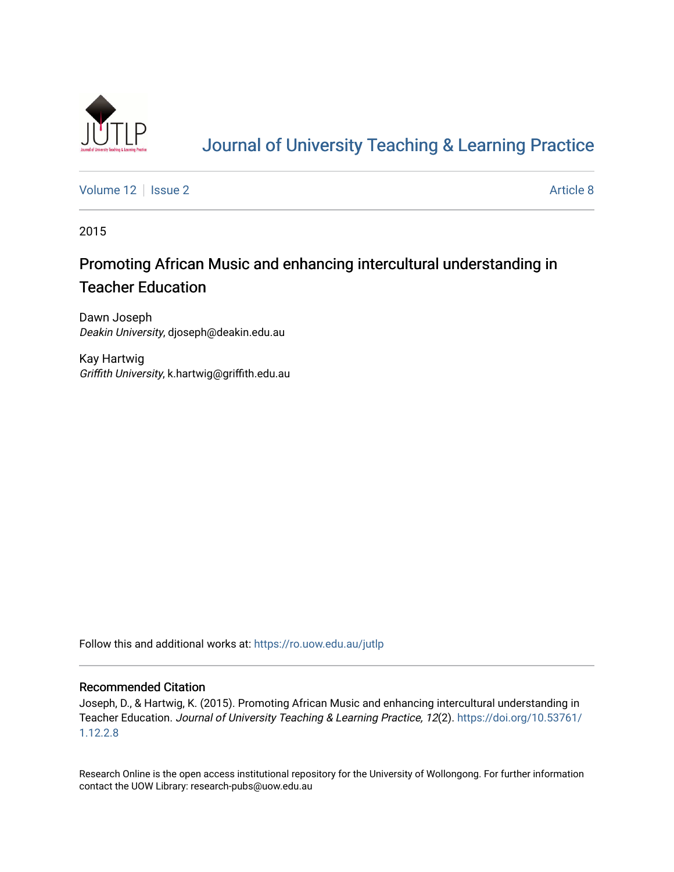

# [Journal of University Teaching & Learning Practice](https://ro.uow.edu.au/jutlp)

[Volume 12](https://ro.uow.edu.au/jutlp/vol12) | [Issue 2](https://ro.uow.edu.au/jutlp/vol12/iss2) Article 8

2015

## Promoting African Music and enhancing intercultural understanding in Teacher Education

Dawn Joseph Deakin University, djoseph@deakin.edu.au

Kay Hartwig Griffith University, k.hartwig@griffith.edu.au

Follow this and additional works at: [https://ro.uow.edu.au/jutlp](https://ro.uow.edu.au/jutlp?utm_source=ro.uow.edu.au%2Fjutlp%2Fvol12%2Fiss2%2F8&utm_medium=PDF&utm_campaign=PDFCoverPages) 

#### Recommended Citation

Joseph, D., & Hartwig, K. (2015). Promoting African Music and enhancing intercultural understanding in Teacher Education. Journal of University Teaching & Learning Practice, 12(2). [https://doi.org/10.53761/](https://doi.org/10.53761/1.12.2.8) [1.12.2.8](https://doi.org/10.53761/1.12.2.8) 

Research Online is the open access institutional repository for the University of Wollongong. For further information contact the UOW Library: research-pubs@uow.edu.au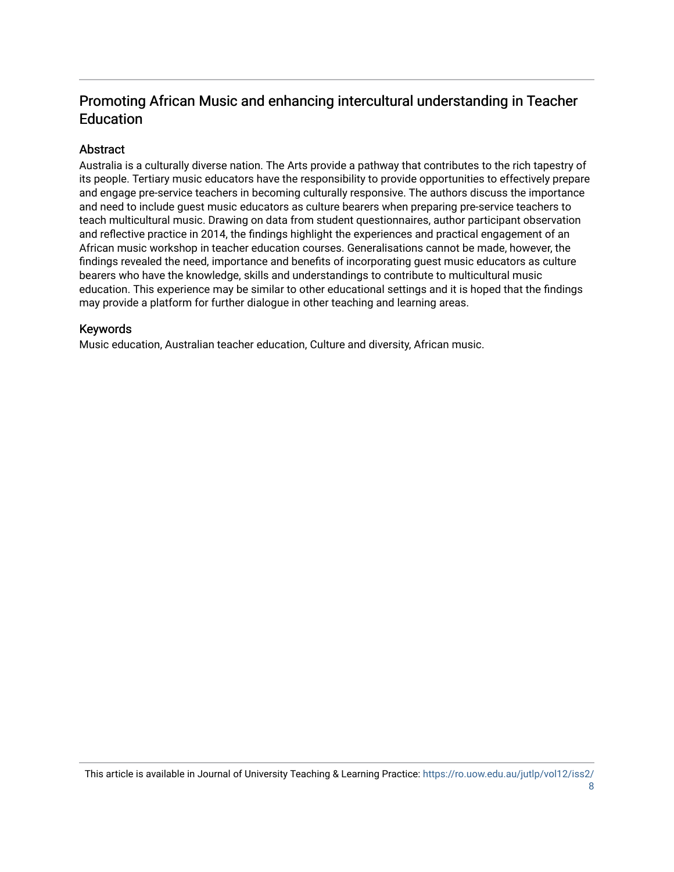## Promoting African Music and enhancing intercultural understanding in Teacher Education

## **Abstract**

Australia is a culturally diverse nation. The Arts provide a pathway that contributes to the rich tapestry of its people. Tertiary music educators have the responsibility to provide opportunities to effectively prepare and engage pre-service teachers in becoming culturally responsive. The authors discuss the importance and need to include guest music educators as culture bearers when preparing pre-service teachers to teach multicultural music. Drawing on data from student questionnaires, author participant observation and reflective practice in 2014, the findings highlight the experiences and practical engagement of an African music workshop in teacher education courses. Generalisations cannot be made, however, the findings revealed the need, importance and benefits of incorporating guest music educators as culture bearers who have the knowledge, skills and understandings to contribute to multicultural music education. This experience may be similar to other educational settings and it is hoped that the findings may provide a platform for further dialogue in other teaching and learning areas.

### Keywords

Music education, Australian teacher education, Culture and diversity, African music.

This article is available in Journal of University Teaching & Learning Practice: [https://ro.uow.edu.au/jutlp/vol12/iss2/](https://ro.uow.edu.au/jutlp/vol12/iss2/8)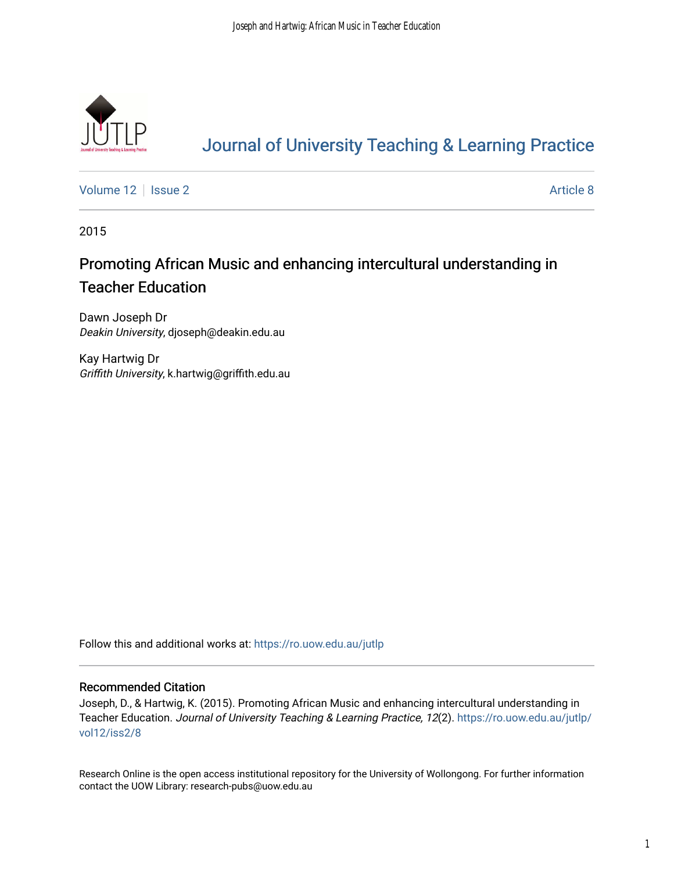

# [Journal of University Teaching & Learning Practice](https://ro.uow.edu.au/jutlp)

[Volume 12](https://ro.uow.edu.au/jutlp/vol12) | [Issue 2](https://ro.uow.edu.au/jutlp/vol12/iss2) Article 8

2015

## Promoting African Music and enhancing intercultural understanding in Teacher Education

Dawn Joseph Dr Deakin University, djoseph@deakin.edu.au

Kay Hartwig Dr Griffith University, k.hartwig@griffith.edu.au

Follow this and additional works at: [https://ro.uow.edu.au/jutlp](https://ro.uow.edu.au/jutlp?utm_source=ro.uow.edu.au%2Fjutlp%2Fvol12%2Fiss2%2F8&utm_medium=PDF&utm_campaign=PDFCoverPages) 

#### Recommended Citation

Joseph, D., & Hartwig, K. (2015). Promoting African Music and enhancing intercultural understanding in Teacher Education. Journal of University Teaching & Learning Practice, 12(2). [https://ro.uow.edu.au/jutlp/](https://ro.uow.edu.au/jutlp/vol12/iss2/8?utm_source=ro.uow.edu.au%2Fjutlp%2Fvol12%2Fiss2%2F8&utm_medium=PDF&utm_campaign=PDFCoverPages) [vol12/iss2/8](https://ro.uow.edu.au/jutlp/vol12/iss2/8?utm_source=ro.uow.edu.au%2Fjutlp%2Fvol12%2Fiss2%2F8&utm_medium=PDF&utm_campaign=PDFCoverPages)

Research Online is the open access institutional repository for the University of Wollongong. For further information contact the UOW Library: research-pubs@uow.edu.au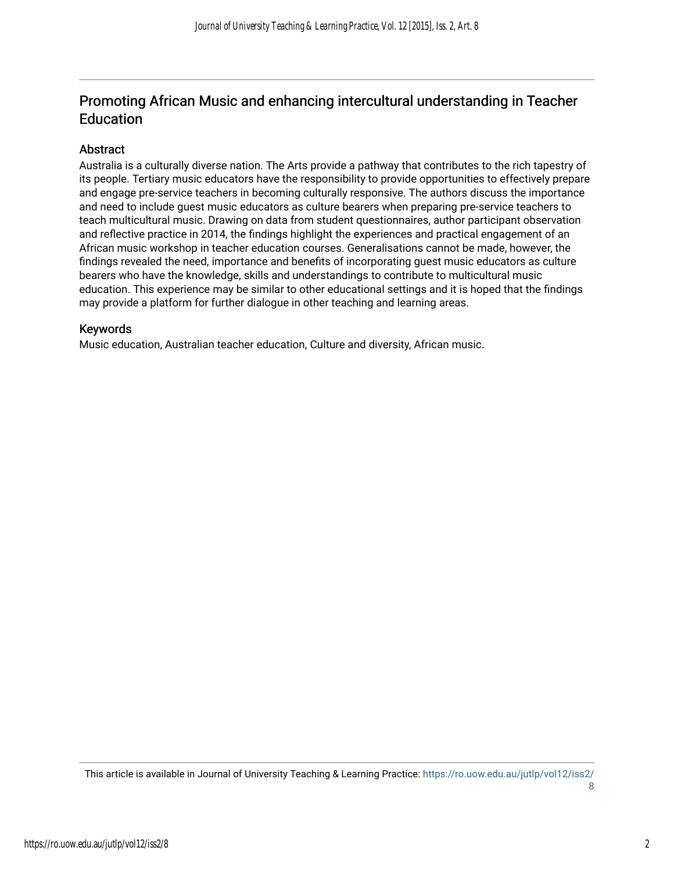## Promoting African Music and enhancing intercultural understanding in Teacher Education

### Abstract

Australia is a culturally diverse nation. The Arts provide a pathway that contributes to the rich tapestry of its people. Tertiary music educators have the responsibility to provide opportunities to effectively prepare and engage pre-service teachers in becoming culturally responsive. The authors discuss the importance and need to include guest music educators as culture bearers when preparing pre-service teachers to teach multicultural music. Drawing on data from student questionnaires, author participant observation and reflective practice in 2014, the findings highlight the experiences and practical engagement of an African music workshop in teacher education courses. Generalisations cannot be made, however, the findings revealed the need, importance and benefits of incorporating guest music educators as culture bearers who have the knowledge, skills and understandings to contribute to multicultural music education. This experience may be similar to other educational settings and it is hoped that the findings may provide a platform for further dialogue in other teaching and learning areas.

### Keywords

Music education, Australian teacher education, Culture and diversity, African music.

This article is available in Journal of University Teaching & Learning Practice: [https://ro.uow.edu.au/jutlp/vol12/iss2/](https://ro.uow.edu.au/jutlp/vol12/iss2/8) [8](https://ro.uow.edu.au/jutlp/vol12/iss2/8)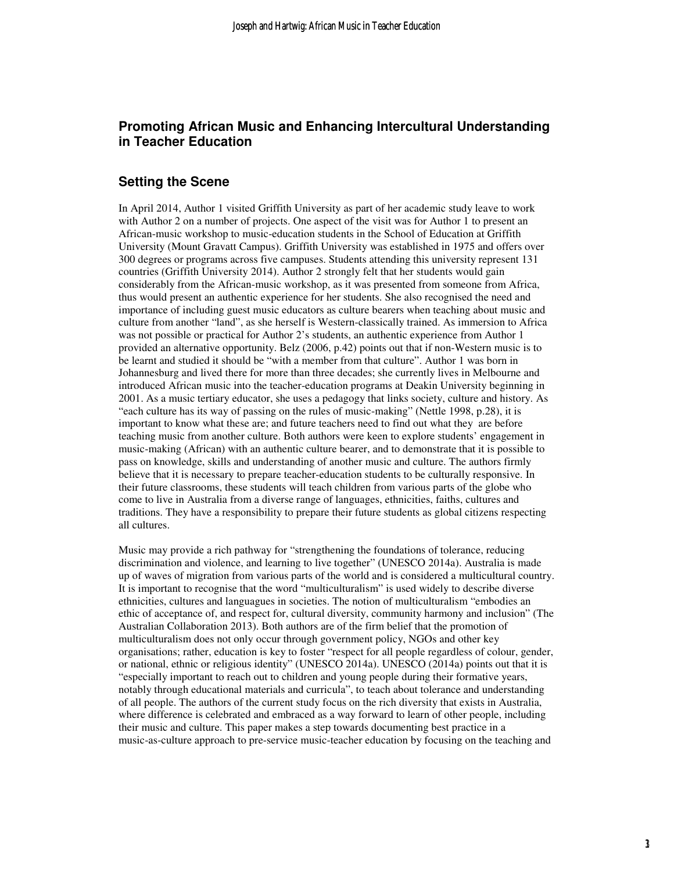### **Promoting African Music and Enhancing Intercultural Understanding in Teacher Education**

#### **Setting the Scene**

In April 2014, Author 1 visited Griffith University as part of her academic study leave to work with Author 2 on a number of projects. One aspect of the visit was for Author 1 to present an African-music workshop to music-education students in the School of Education at Griffith University (Mount Gravatt Campus). Griffith University was established in 1975 and offers over 300 degrees or programs across five campuses. Students attending this university represent 131 countries (Griffith University 2014). Author 2 strongly felt that her students would gain considerably from the African-music workshop, as it was presented from someone from Africa, thus would present an authentic experience for her students. She also recognised the need and importance of including guest music educators as culture bearers when teaching about music and culture from another "land", as she herself is Western-classically trained. As immersion to Africa was not possible or practical for Author 2's students, an authentic experience from Author 1 provided an alternative opportunity. Belz (2006, p.42) points out that if non-Western music is to be learnt and studied it should be "with a member from that culture". Author 1 was born in Johannesburg and lived there for more than three decades; she currently lives in Melbourne and introduced African music into the teacher-education programs at Deakin University beginning in 2001. As a music tertiary educator, she uses a pedagogy that links society, culture and history. As "each culture has its way of passing on the rules of music-making" (Nettle 1998, p.28), it is important to know what these are; and future teachers need to find out what they are before teaching music from another culture. Both authors were keen to explore students' engagement in music-making (African) with an authentic culture bearer, and to demonstrate that it is possible to pass on knowledge, skills and understanding of another music and culture. The authors firmly believe that it is necessary to prepare teacher-education students to be culturally responsive. In their future classrooms, these students will teach children from various parts of the globe who come to live in Australia from a diverse range of languages, ethnicities, faiths, cultures and traditions. They have a responsibility to prepare their future students as global citizens respecting all cultures.

Music may provide a rich pathway for "strengthening the foundations of tolerance, reducing discrimination and violence, and learning to live together" (UNESCO 2014a). Australia is made up of waves of migration from various parts of the world and is considered a multicultural country. It is important to recognise that the word "multiculturalism" is used widely to describe diverse ethnicities, cultures and languagues in societies. The notion of multiculturalism "embodies an ethic of acceptance of, and respect for, cultural diversity, community harmony and inclusion" (The Australian Collaboration 2013). Both authors are of the firm belief that the promotion of multiculturalism does not only occur through government policy, NGOs and other key organisations; rather, education is key to foster "respect for all people regardless of colour, gender, or national, ethnic or religious identity" (UNESCO 2014a). UNESCO (2014a) points out that it is "especially important to reach out to children and young people during their formative years, notably through educational materials and curricula", to teach about tolerance and understanding of all people. The authors of the current study focus on the rich diversity that exists in Australia, where difference is celebrated and embraced as a way forward to learn of other people, including their music and culture. This paper makes a step towards documenting best practice in a music-as-culture approach to pre-service music-teacher education by focusing on the teaching and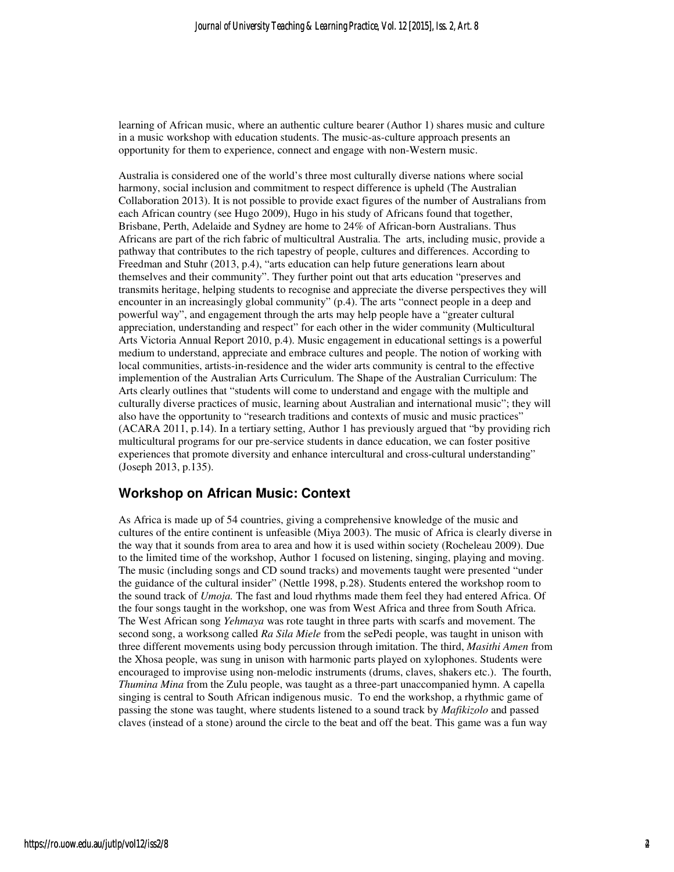learning of African music, where an authentic culture bearer (Author 1) shares music and culture in a music workshop with education students. The music-as-culture approach presents an opportunity for them to experience, connect and engage with non-Western music.

Australia is considered one of the world's three most culturally diverse nations where social harmony, social inclusion and commitment to respect difference is upheld (The Australian Collaboration 2013). It is not possible to provide exact figures of the number of Australians from each African country (see Hugo 2009), Hugo in his study of Africans found that together, Brisbane, Perth, Adelaide and Sydney are home to 24% of African-born Australians. Thus Africans are part of the rich fabric of multicultral Australia. The arts, including music, provide a pathway that contributes to the rich tapestry of people, cultures and differences. According to Freedman and Stuhr (2013, p.4), "arts education can help future generations learn about themselves and their community". They further point out that arts education "preserves and transmits heritage, helping students to recognise and appreciate the diverse perspectives they will encounter in an increasingly global community" (p.4). The arts "connect people in a deep and powerful way", and engagement through the arts may help people have a "greater cultural appreciation, understanding and respect" for each other in the wider community (Multicultural Arts Victoria Annual Report 2010, p.4). Music engagement in educational settings is a powerful medium to understand, appreciate and embrace cultures and people. The notion of working with local communities, artists-in-residence and the wider arts community is central to the effective implemention of the Australian Arts Curriculum. The Shape of the Australian Curriculum: The Arts clearly outlines that "students will come to understand and engage with the multiple and culturally diverse practices of music, learning about Australian and international music"; they will also have the opportunity to "research traditions and contexts of music and music practices" (ACARA 2011, p.14). In a tertiary setting, Author 1 has previously argued that "by providing rich multicultural programs for our pre-service students in dance education, we can foster positive experiences that promote diversity and enhance intercultural and cross-cultural understanding" (Joseph 2013, p.135).

#### **Workshop on African Music: Context**

As Africa is made up of 54 countries, giving a comprehensive knowledge of the music and cultures of the entire continent is unfeasible (Miya 2003). The music of Africa is clearly diverse in the way that it sounds from area to area and how it is used within society (Rocheleau 2009). Due to the limited time of the workshop, Author 1 focused on listening, singing, playing and moving. The music (including songs and CD sound tracks) and movements taught were presented "under the guidance of the cultural insider" (Nettle 1998, p.28). Students entered the workshop room to the sound track of *Umoja.* The fast and loud rhythms made them feel they had entered Africa. Of the four songs taught in the workshop, one was from West Africa and three from South Africa. The West African song *Yehmaya* was rote taught in three parts with scarfs and movement. The second song, a worksong called *Ra Sila Miele* from the sePedi people, was taught in unison with three different movements using body percussion through imitation. The third, *Masithi Amen* from the Xhosa people, was sung in unison with harmonic parts played on xylophones. Students were encouraged to improvise using non-melodic instruments (drums, claves, shakers etc.). The fourth, *Thumina Mina* from the Zulu people, was taught as a three-part unaccompanied hymn. A capella singing is central to South African indigenous music. To end the workshop, a rhythmic game of passing the stone was taught, where students listened to a sound track by *Mafikizolo* and passed claves (instead of a stone) around the circle to the beat and off the beat. This game was a fun way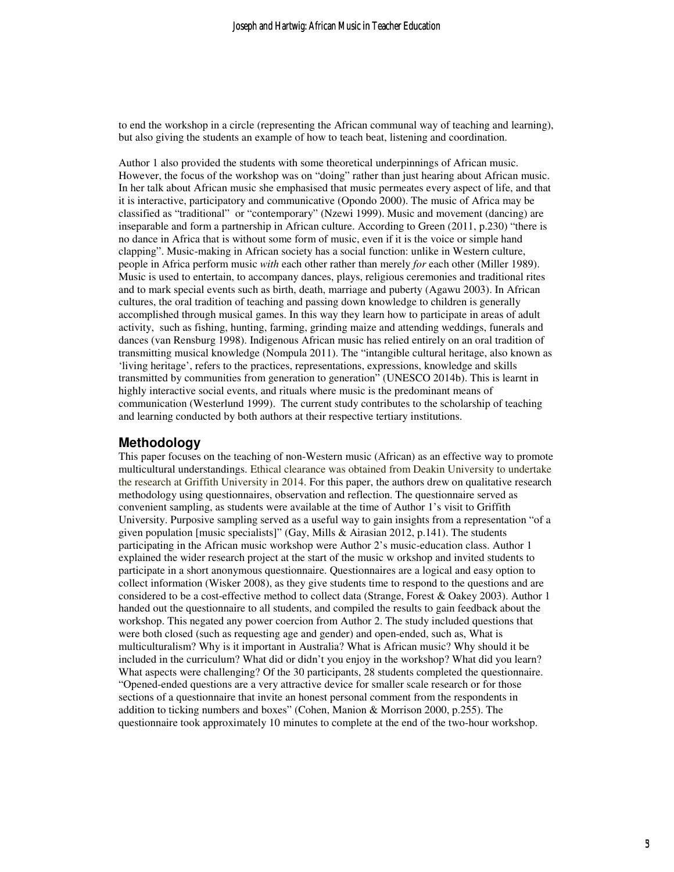to end the workshop in a circle (representing the African communal way of teaching and learning), but also giving the students an example of how to teach beat, listening and coordination.

Author 1 also provided the students with some theoretical underpinnings of African music. However, the focus of the workshop was on "doing" rather than just hearing about African music. In her talk about African music she emphasised that music permeates every aspect of life, and that it is interactive, participatory and communicative (Opondo 2000). The music of Africa may be classified as "traditional" or "contemporary" (Nzewi 1999). Music and movement (dancing) are inseparable and form a partnership in African culture. According to Green (2011, p.230) "there is no dance in Africa that is without some form of music, even if it is the voice or simple hand clapping". Music-making in African society has a social function: unlike in Western culture, people in Africa perform music *with* each other rather than merely *for* each other (Miller 1989). Music is used to entertain, to accompany dances, plays, religious ceremonies and traditional rites and to mark special events such as birth, death, marriage and puberty (Agawu 2003). In African cultures, the oral tradition of teaching and passing down knowledge to children is generally accomplished through musical games. In this way they learn how to participate in areas of adult activity, such as fishing, hunting, farming, grinding maize and attending weddings, funerals and dances (van Rensburg 1998). Indigenous African music has relied entirely on an oral tradition of transmitting musical knowledge (Nompula 2011). The "intangible cultural heritage, also known as 'living heritage', refers to the practices, representations, expressions, knowledge and skills transmitted by communities from generation to generation" (UNESCO 2014b). This is learnt in highly interactive social events, and rituals where music is the predominant means of communication (Westerlund 1999). The current study contributes to the scholarship of teaching and learning conducted by both authors at their respective tertiary institutions.

#### **Methodology**

This paper focuses on the teaching of non-Western music (African) as an effective way to promote multicultural understandings. Ethical clearance was obtained from Deakin University to undertake the research at Griffith University in 2014. For this paper, the authors drew on qualitative research methodology using questionnaires, observation and reflection. The questionnaire served as convenient sampling, as students were available at the time of Author 1's visit to Griffith University. Purposive sampling served as a useful way to gain insights from a representation "of a given population [music specialists]" (Gay, Mills & Airasian 2012, p.141). The students participating in the African music workshop were Author 2's music-education class. Author 1 explained the wider research project at the start of the music w orkshop and invited students to participate in a short anonymous questionnaire. Questionnaires are a logical and easy option to collect information (Wisker 2008), as they give students time to respond to the questions and are considered to be a cost-effective method to collect data (Strange, Forest & Oakey 2003). Author 1 handed out the questionnaire to all students, and compiled the results to gain feedback about the workshop. This negated any power coercion from Author 2. The study included questions that were both closed (such as requesting age and gender) and open-ended, such as, What is multiculturalism? Why is it important in Australia? What is African music? Why should it be included in the curriculum? What did or didn't you enjoy in the workshop? What did you learn? What aspects were challenging? Of the 30 participants, 28 students completed the questionnaire. "Opened-ended questions are a very attractive device for smaller scale research or for those sections of a questionnaire that invite an honest personal comment from the respondents in addition to ticking numbers and boxes" (Cohen, Manion & Morrison 2000, p.255). The questionnaire took approximately 10 minutes to complete at the end of the two-hour workshop.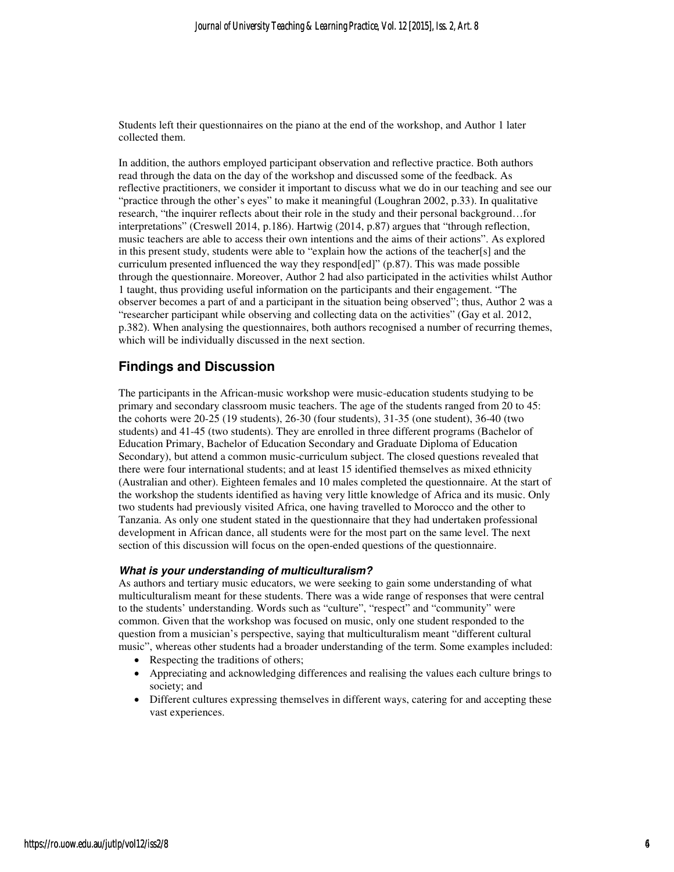Students left their questionnaires on the piano at the end of the workshop, and Author 1 later collected them.

In addition, the authors employed participant observation and reflective practice. Both authors read through the data on the day of the workshop and discussed some of the feedback. As reflective practitioners, we consider it important to discuss what we do in our teaching and see our "practice through the other's eyes" to make it meaningful (Loughran 2002, p.33). In qualitative research, "the inquirer reflects about their role in the study and their personal background…for interpretations" (Creswell 2014, p.186). Hartwig (2014, p.87) argues that "through reflection, music teachers are able to access their own intentions and the aims of their actions". As explored in this present study, students were able to "explain how the actions of the teacher[s] and the curriculum presented influenced the way they respond[ed]" (p.87). This was made possible through the questionnaire. Moreover, Author 2 had also participated in the activities whilst Author 1 taught, thus providing useful information on the participants and their engagement. "The observer becomes a part of and a participant in the situation being observed"; thus, Author 2 was a "researcher participant while observing and collecting data on the activities" (Gay et al. 2012, p.382). When analysing the questionnaires, both authors recognised a number of recurring themes, which will be individually discussed in the next section.

### **Findings and Discussion**

The participants in the African-music workshop were music-education students studying to be primary and secondary classroom music teachers. The age of the students ranged from 20 to 45: the cohorts were 20-25 (19 students), 26-30 (four students), 31-35 (one student), 36-40 (two students) and 41-45 (two students). They are enrolled in three different programs (Bachelor of Education Primary, Bachelor of Education Secondary and Graduate Diploma of Education Secondary), but attend a common music-curriculum subject. The closed questions revealed that there were four international students; and at least 15 identified themselves as mixed ethnicity (Australian and other). Eighteen females and 10 males completed the questionnaire. At the start of the workshop the students identified as having very little knowledge of Africa and its music. Only two students had previously visited Africa, one having travelled to Morocco and the other to Tanzania. As only one student stated in the questionnaire that they had undertaken professional development in African dance, all students were for the most part on the same level. The next section of this discussion will focus on the open-ended questions of the questionnaire.

#### **What is your understanding of multiculturalism?**

As authors and tertiary music educators, we were seeking to gain some understanding of what multiculturalism meant for these students. There was a wide range of responses that were central to the students' understanding. Words such as "culture", "respect" and "community" were common. Given that the workshop was focused on music, only one student responded to the question from a musician's perspective, saying that multiculturalism meant "different cultural music", whereas other students had a broader understanding of the term. Some examples included:

- Respecting the traditions of others;
- Appreciating and acknowledging differences and realising the values each culture brings to society; and
- Different cultures expressing themselves in different ways, catering for and accepting these vast experiences.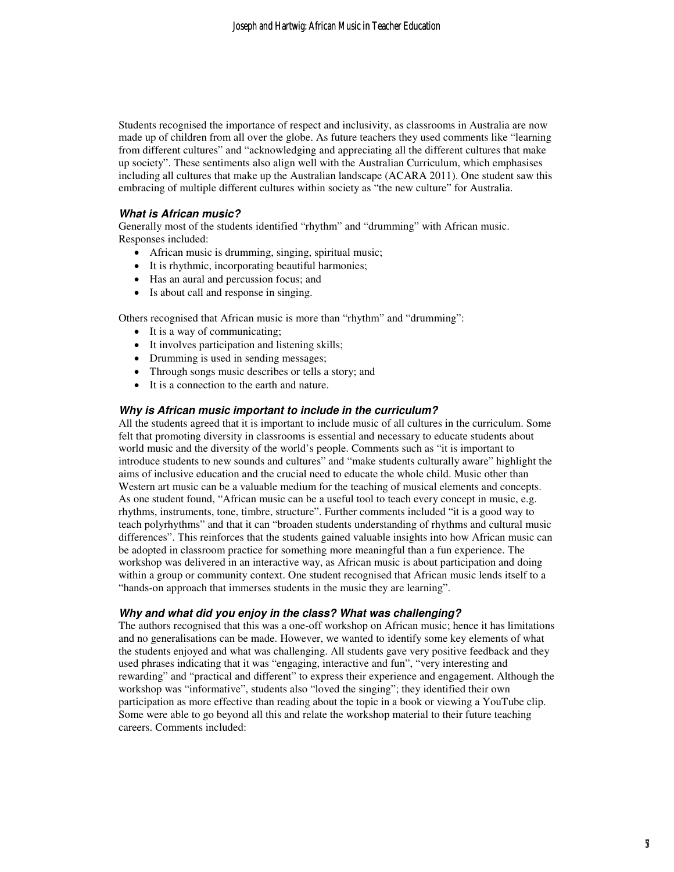Students recognised the importance of respect and inclusivity, as classrooms in Australia are now made up of children from all over the globe. As future teachers they used comments like "learning from different cultures" and "acknowledging and appreciating all the different cultures that make up society". These sentiments also align well with the Australian Curriculum, which emphasises including all cultures that make up the Australian landscape (ACARA 2011). One student saw this embracing of multiple different cultures within society as "the new culture" for Australia.

#### **What is African music?**

Generally most of the students identified "rhythm" and "drumming" with African music. Responses included:

- African music is drumming, singing, spiritual music;
- It is rhythmic, incorporating beautiful harmonies;
- Has an aural and percussion focus; and
- Is about call and response in singing.

Others recognised that African music is more than "rhythm" and "drumming":

- It is a way of communicating;
- It involves participation and listening skills;
- Drumming is used in sending messages;
- Through songs music describes or tells a story; and
- It is a connection to the earth and nature.

#### **Why is African music important to include in the curriculum?**

All the students agreed that it is important to include music of all cultures in the curriculum. Some felt that promoting diversity in classrooms is essential and necessary to educate students about world music and the diversity of the world's people. Comments such as "it is important to introduce students to new sounds and cultures" and "make students culturally aware" highlight the aims of inclusive education and the crucial need to educate the whole child. Music other than Western art music can be a valuable medium for the teaching of musical elements and concepts. As one student found, "African music can be a useful tool to teach every concept in music, e.g. rhythms, instruments, tone, timbre, structure". Further comments included "it is a good way to teach polyrhythms" and that it can "broaden students understanding of rhythms and cultural music differences". This reinforces that the students gained valuable insights into how African music can be adopted in classroom practice for something more meaningful than a fun experience. The workshop was delivered in an interactive way, as African music is about participation and doing within a group or community context. One student recognised that African music lends itself to a "hands-on approach that immerses students in the music they are learning".

#### **Why and what did you enjoy in the class? What was challenging?**

The authors recognised that this was a one-off workshop on African music; hence it has limitations and no generalisations can be made. However, we wanted to identify some key elements of what the students enjoyed and what was challenging. All students gave very positive feedback and they used phrases indicating that it was "engaging, interactive and fun", "very interesting and rewarding" and "practical and different" to express their experience and engagement. Although the workshop was "informative", students also "loved the singing"; they identified their own participation as more effective than reading about the topic in a book or viewing a YouTube clip. Some were able to go beyond all this and relate the workshop material to their future teaching careers. Comments included: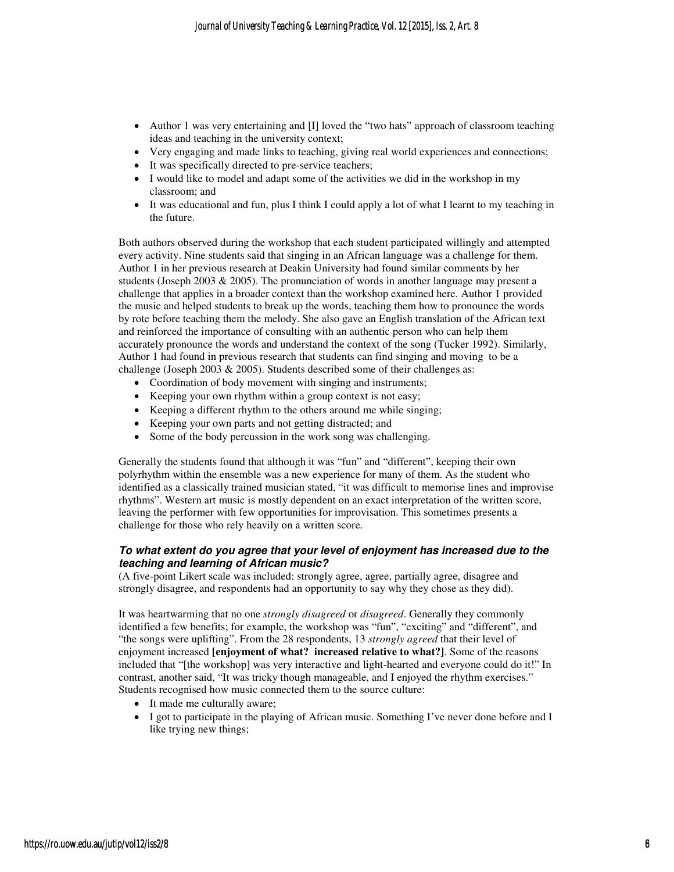- Author 1 was very entertaining and [I] loved the "two hats" approach of classroom teaching ideas and teaching in the university context;
- Very engaging and made links to teaching, giving real world experiences and connections;
- It was specifically directed to pre-service teachers;
- I would like to model and adapt some of the activities we did in the workshop in my classroom; and
- It was educational and fun, plus I think I could apply a lot of what I learnt to my teaching in the future.

Both authors observed during the workshop that each student participated willingly and attempted every activity. Nine students said that singing in an African language was a challenge for them. Author 1 in her previous research at Deakin University had found similar comments by her students (Joseph 2003 & 2005). The pronunciation of words in another language may present a challenge that applies in a broader context than the workshop examined here. Author 1 provided the music and helped students to break up the words, teaching them how to pronounce the words by rote before teaching them the melody. She also gave an English translation of the African text and reinforced the importance of consulting with an authentic person who can help them accurately pronounce the words and understand the context of the song (Tucker 1992). Similarly, Author 1 had found in previous research that students can find singing and moving to be a challenge (Joseph 2003 & 2005). Students described some of their challenges as:

- Coordination of body movement with singing and instruments;
- Keeping your own rhythm within a group context is not easy;
- Keeping a different rhythm to the others around me while singing;
- Keeping your own parts and not getting distracted; and
- Some of the body percussion in the work song was challenging.

Generally the students found that although it was "fun" and "different", keeping their own polyrhythm within the ensemble was a new experience for many of them. As the student who identified as a classically trained musician stated, "it was difficult to memorise lines and improvise rhythms". Western art music is mostly dependent on an exact interpretation of the written score, leaving the performer with few opportunities for improvisation. This sometimes presents a challenge for those who rely heavily on a written score.

#### **To what extent do you agree that your level of enjoyment has increased due to the teaching and learning of African music?**

(A five-point Likert scale was included: strongly agree, agree, partially agree, disagree and strongly disagree, and respondents had an opportunity to say why they chose as they did).

It was heartwarming that no one *strongly disagreed* or *disagreed*. Generally they commonly identified a few benefits; for example, the workshop was "fun", "exciting" and "different", and "the songs were uplifting". From the 28 respondents, 13 *strongly agreed* that their level of enjoyment increased **[enjoyment of what? increased relative to what?]**. Some of the reasons included that "[the workshop] was very interactive and light-hearted and everyone could do it!" In contrast, another said, "It was tricky though manageable, and I enjoyed the rhythm exercises." Students recognised how music connected them to the source culture:

- It made me culturally aware;
- I got to participate in the playing of African music. Something I've never done before and I like trying new things;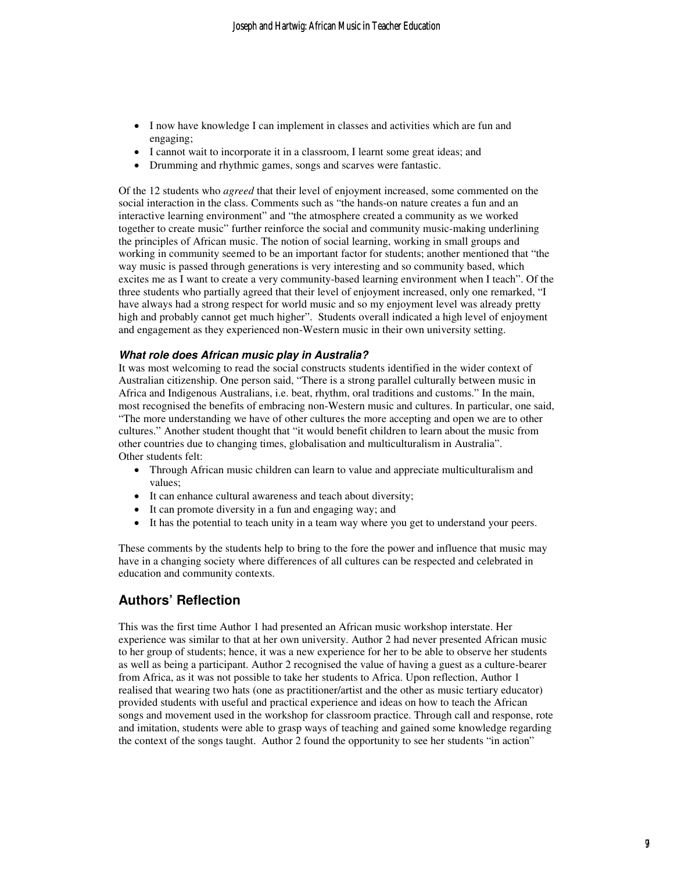- I now have knowledge I can implement in classes and activities which are fun and engaging;
- I cannot wait to incorporate it in a classroom, I learnt some great ideas; and
- Drumming and rhythmic games, songs and scarves were fantastic.

Of the 12 students who *agreed* that their level of enjoyment increased, some commented on the social interaction in the class. Comments such as "the hands-on nature creates a fun and an interactive learning environment" and "the atmosphere created a community as we worked together to create music" further reinforce the social and community music-making underlining the principles of African music. The notion of social learning, working in small groups and working in community seemed to be an important factor for students; another mentioned that "the way music is passed through generations is very interesting and so community based, which excites me as I want to create a very community-based learning environment when I teach". Of the three students who partially agreed that their level of enjoyment increased, only one remarked, "I have always had a strong respect for world music and so my enjoyment level was already pretty high and probably cannot get much higher". Students overall indicated a high level of enjoyment and engagement as they experienced non-Western music in their own university setting.

#### **What role does African music play in Australia?**

It was most welcoming to read the social constructs students identified in the wider context of Australian citizenship. One person said, "There is a strong parallel culturally between music in Africa and Indigenous Australians, i.e. beat, rhythm, oral traditions and customs." In the main, most recognised the benefits of embracing non-Western music and cultures. In particular, one said, "The more understanding we have of other cultures the more accepting and open we are to other cultures." Another student thought that "it would benefit children to learn about the music from other countries due to changing times, globalisation and multiculturalism in Australia". Other students felt:

- Through African music children can learn to value and appreciate multiculturalism and values;
- It can enhance cultural awareness and teach about diversity;
- It can promote diversity in a fun and engaging way; and
- It has the potential to teach unity in a team way where you get to understand your peers.

These comments by the students help to bring to the fore the power and influence that music may have in a changing society where differences of all cultures can be respected and celebrated in education and community contexts.

## **Authors' Reflection**

This was the first time Author 1 had presented an African music workshop interstate. Her experience was similar to that at her own university. Author 2 had never presented African music to her group of students; hence, it was a new experience for her to be able to observe her students as well as being a participant. Author 2 recognised the value of having a guest as a culture-bearer from Africa, as it was not possible to take her students to Africa. Upon reflection, Author 1 realised that wearing two hats (one as practitioner/artist and the other as music tertiary educator) provided students with useful and practical experience and ideas on how to teach the African songs and movement used in the workshop for classroom practice. Through call and response, rote and imitation, students were able to grasp ways of teaching and gained some knowledge regarding the context of the songs taught. Author 2 found the opportunity to see her students "in action"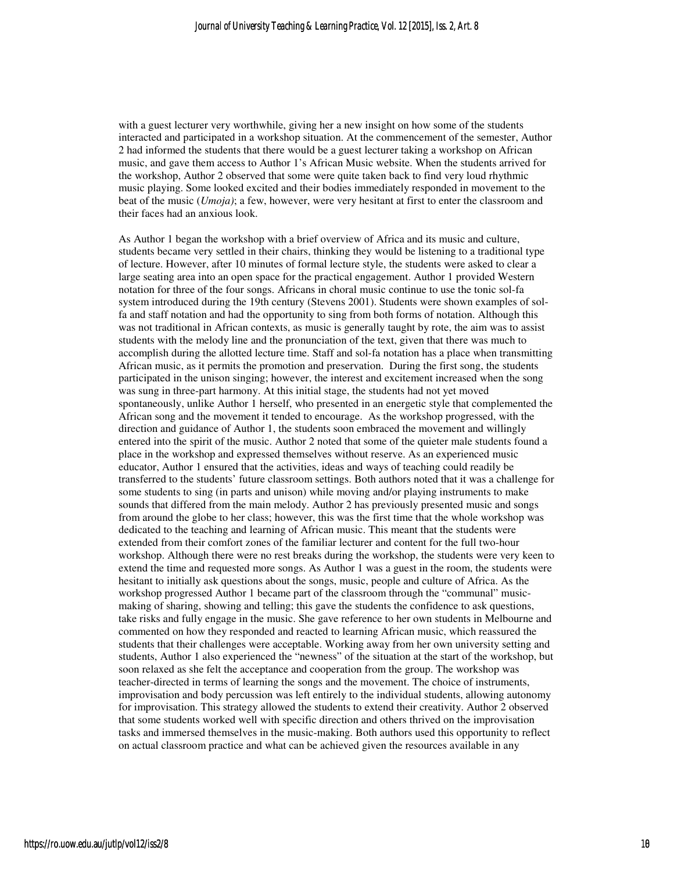with a guest lecturer very worthwhile, giving her a new insight on how some of the students interacted and participated in a workshop situation. At the commencement of the semester, Author 2 had informed the students that there would be a guest lecturer taking a workshop on African music, and gave them access to Author 1's African Music website. When the students arrived for the workshop, Author 2 observed that some were quite taken back to find very loud rhythmic music playing. Some looked excited and their bodies immediately responded in movement to the beat of the music (*Umoja)*; a few, however, were very hesitant at first to enter the classroom and their faces had an anxious look.

As Author 1 began the workshop with a brief overview of Africa and its music and culture, students became very settled in their chairs, thinking they would be listening to a traditional type of lecture. However, after 10 minutes of formal lecture style, the students were asked to clear a large seating area into an open space for the practical engagement. Author 1 provided Western notation for three of the four songs. Africans in choral music continue to use the tonic sol-fa system introduced during the 19th century (Stevens 2001). Students were shown examples of solfa and staff notation and had the opportunity to sing from both forms of notation. Although this was not traditional in African contexts, as music is generally taught by rote, the aim was to assist students with the melody line and the pronunciation of the text, given that there was much to accomplish during the allotted lecture time. Staff and sol-fa notation has a place when transmitting African music, as it permits the promotion and preservation. During the first song, the students participated in the unison singing; however, the interest and excitement increased when the song was sung in three-part harmony. At this initial stage, the students had not yet moved spontaneously, unlike Author 1 herself, who presented in an energetic style that complemented the African song and the movement it tended to encourage. As the workshop progressed, with the direction and guidance of Author 1, the students soon embraced the movement and willingly entered into the spirit of the music. Author 2 noted that some of the quieter male students found a place in the workshop and expressed themselves without reserve. As an experienced music educator, Author 1 ensured that the activities, ideas and ways of teaching could readily be transferred to the students' future classroom settings. Both authors noted that it was a challenge for some students to sing (in parts and unison) while moving and/or playing instruments to make sounds that differed from the main melody. Author 2 has previously presented music and songs from around the globe to her class; however, this was the first time that the whole workshop was dedicated to the teaching and learning of African music. This meant that the students were extended from their comfort zones of the familiar lecturer and content for the full two-hour workshop. Although there were no rest breaks during the workshop, the students were very keen to extend the time and requested more songs. As Author 1 was a guest in the room, the students were hesitant to initially ask questions about the songs, music, people and culture of Africa. As the workshop progressed Author 1 became part of the classroom through the "communal" musicmaking of sharing, showing and telling; this gave the students the confidence to ask questions, take risks and fully engage in the music. She gave reference to her own students in Melbourne and commented on how they responded and reacted to learning African music, which reassured the students that their challenges were acceptable. Working away from her own university setting and students, Author 1 also experienced the "newness" of the situation at the start of the workshop, but soon relaxed as she felt the acceptance and cooperation from the group. The workshop was teacher-directed in terms of learning the songs and the movement. The choice of instruments, improvisation and body percussion was left entirely to the individual students, allowing autonomy for improvisation. This strategy allowed the students to extend their creativity. Author 2 observed that some students worked well with specific direction and others thrived on the improvisation tasks and immersed themselves in the music-making. Both authors used this opportunity to reflect on actual classroom practice and what can be achieved given the resources available in any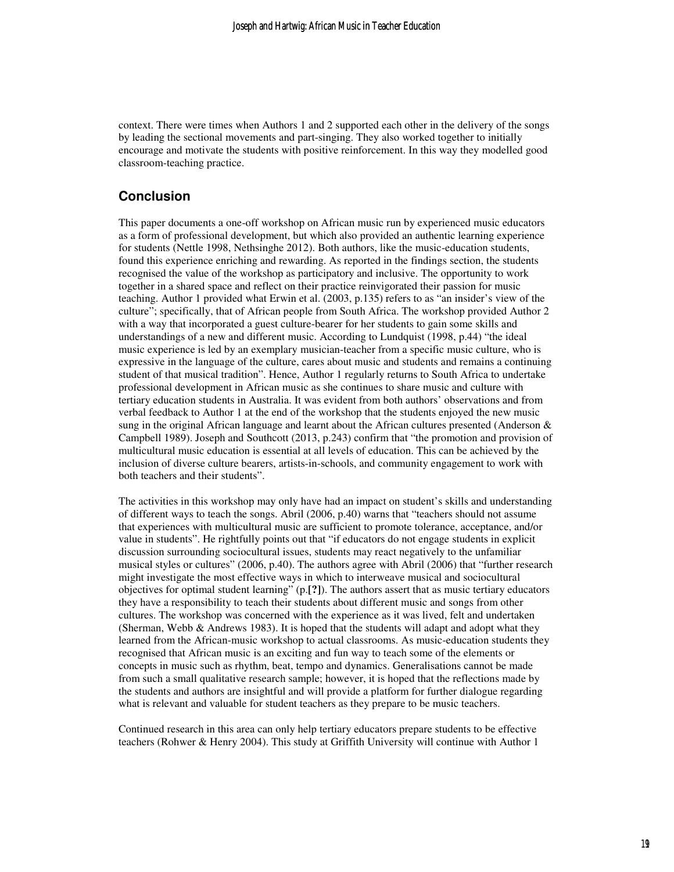context. There were times when Authors 1 and 2 supported each other in the delivery of the songs by leading the sectional movements and part-singing. They also worked together to initially encourage and motivate the students with positive reinforcement. In this way they modelled good classroom-teaching practice.

#### **Conclusion**

This paper documents a one-off workshop on African music run by experienced music educators as a form of professional development, but which also provided an authentic learning experience for students (Nettle 1998, Nethsinghe 2012). Both authors, like the music-education students, found this experience enriching and rewarding. As reported in the findings section, the students recognised the value of the workshop as participatory and inclusive. The opportunity to work together in a shared space and reflect on their practice reinvigorated their passion for music teaching. Author 1 provided what Erwin et al. (2003, p.135) refers to as "an insider's view of the culture"; specifically, that of African people from South Africa. The workshop provided Author 2 with a way that incorporated a guest culture-bearer for her students to gain some skills and understandings of a new and different music. According to Lundquist (1998, p.44) "the ideal music experience is led by an exemplary musician-teacher from a specific music culture, who is expressive in the language of the culture, cares about music and students and remains a continuing student of that musical tradition". Hence, Author 1 regularly returns to South Africa to undertake professional development in African music as she continues to share music and culture with tertiary education students in Australia. It was evident from both authors' observations and from verbal feedback to Author 1 at the end of the workshop that the students enjoyed the new music sung in the original African language and learnt about the African cultures presented (Anderson  $\&$ Campbell 1989). Joseph and Southcott (2013, p.243) confirm that "the promotion and provision of multicultural music education is essential at all levels of education. This can be achieved by the inclusion of diverse culture bearers, artists-in-schools, and community engagement to work with both teachers and their students".

The activities in this workshop may only have had an impact on student's skills and understanding of different ways to teach the songs. Abril (2006, p.40) warns that "teachers should not assume that experiences with multicultural music are sufficient to promote tolerance, acceptance, and/or value in students". He rightfully points out that "if educators do not engage students in explicit discussion surrounding sociocultural issues, students may react negatively to the unfamiliar musical styles or cultures" (2006, p.40). The authors agree with Abril (2006) that "further research might investigate the most effective ways in which to interweave musical and sociocultural objectives for optimal student learning" (p.**[?]**). The authors assert that as music tertiary educators they have a responsibility to teach their students about different music and songs from other cultures. The workshop was concerned with the experience as it was lived, felt and undertaken (Sherman, Webb  $\&$  Andrews 1983). It is hoped that the students will adapt and adopt what they learned from the African-music workshop to actual classrooms. As music-education students they recognised that African music is an exciting and fun way to teach some of the elements or concepts in music such as rhythm, beat, tempo and dynamics. Generalisations cannot be made from such a small qualitative research sample; however, it is hoped that the reflections made by the students and authors are insightful and will provide a platform for further dialogue regarding what is relevant and valuable for student teachers as they prepare to be music teachers.

Continued research in this area can only help tertiary educators prepare students to be effective teachers (Rohwer & Henry 2004). This study at Griffith University will continue with Author 1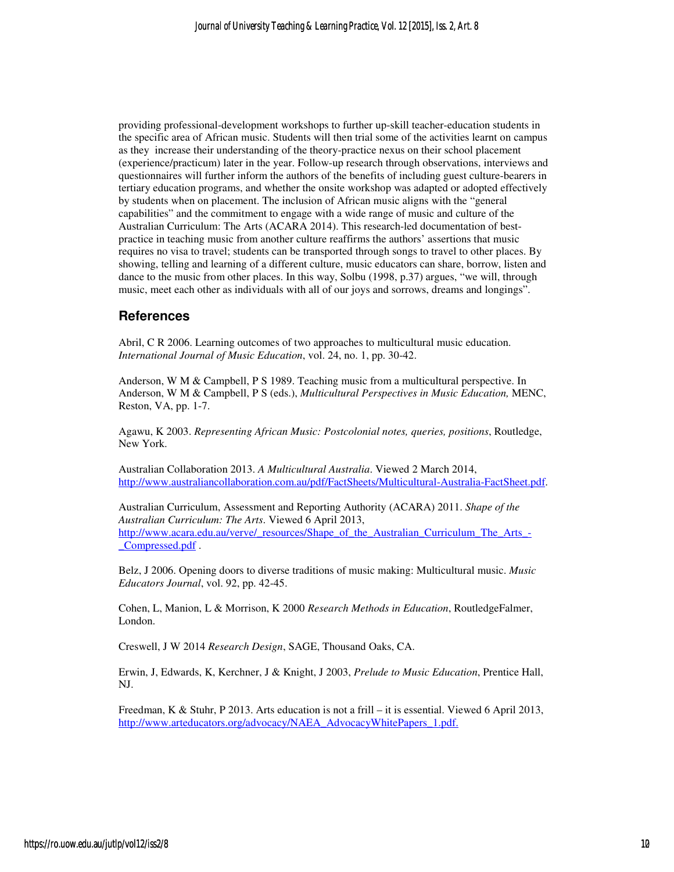providing professional-development workshops to further up-skill teacher-education students in the specific area of African music. Students will then trial some of the activities learnt on campus as they increase their understanding of the theory-practice nexus on their school placement (experience/practicum) later in the year. Follow-up research through observations, interviews and questionnaires will further inform the authors of the benefits of including guest culture-bearers in tertiary education programs, and whether the onsite workshop was adapted or adopted effectively by students when on placement. The inclusion of African music aligns with the "general capabilities" and the commitment to engage with a wide range of music and culture of the Australian Curriculum: The Arts (ACARA 2014). This research-led documentation of bestpractice in teaching music from another culture reaffirms the authors' assertions that music requires no visa to travel; students can be transported through songs to travel to other places. By showing, telling and learning of a different culture, music educators can share, borrow, listen and dance to the music from other places. In this way, Solbu (1998, p.37) argues, "we will, through music, meet each other as individuals with all of our joys and sorrows, dreams and longings".

#### **References**

Abril, C R 2006. Learning outcomes of two approaches to multicultural music education. *International Journal of Music Education*, vol. 24, no. 1, pp. 30-42.

Anderson, W M & Campbell, P S 1989. Teaching music from a multicultural perspective. In Anderson, W M & Campbell, P S (eds.), *Multicultural Perspectives in Music Education,* MENC, Reston, VA, pp. 1-7.

Agawu, K 2003. *Representing African Music: Postcolonial notes, queries, positions*, Routledge, New York.

Australian Collaboration 2013. *A Multicultural Australia*. Viewed 2 March 2014, http://www.australiancollaboration.com.au/pdf/FactSheets/Multicultural-Australia-FactSheet.pdf.

Australian Curriculum, Assessment and Reporting Authority (ACARA) 2011. *Shape of the Australian Curriculum: The Arts*. Viewed 6 April 2013, http://www.acara.edu.au/verve/\_resources/Shape\_of\_the\_Australian\_Curriculum\_The\_Arts\_-\_Compressed.pdf .

Belz, J 2006. Opening doors to diverse traditions of music making: Multicultural music. *Music Educators Journal*, vol. 92, pp. 42-45.

Cohen, L, Manion, L & Morrison, K 2000 *Research Methods in Education*, RoutledgeFalmer, London.

Creswell, J W 2014 *Research Design*, SAGE, Thousand Oaks, CA.

Erwin, J, Edwards, K, Kerchner, J & Knight, J 2003, *Prelude to Music Education*, Prentice Hall, NJ.

Freedman, K & Stuhr, P 2013. Arts education is not a frill – it is essential. Viewed 6 April 2013, http://www.arteducators.org/advocacy/NAEA\_AdvocacyWhitePapers\_1.pdf.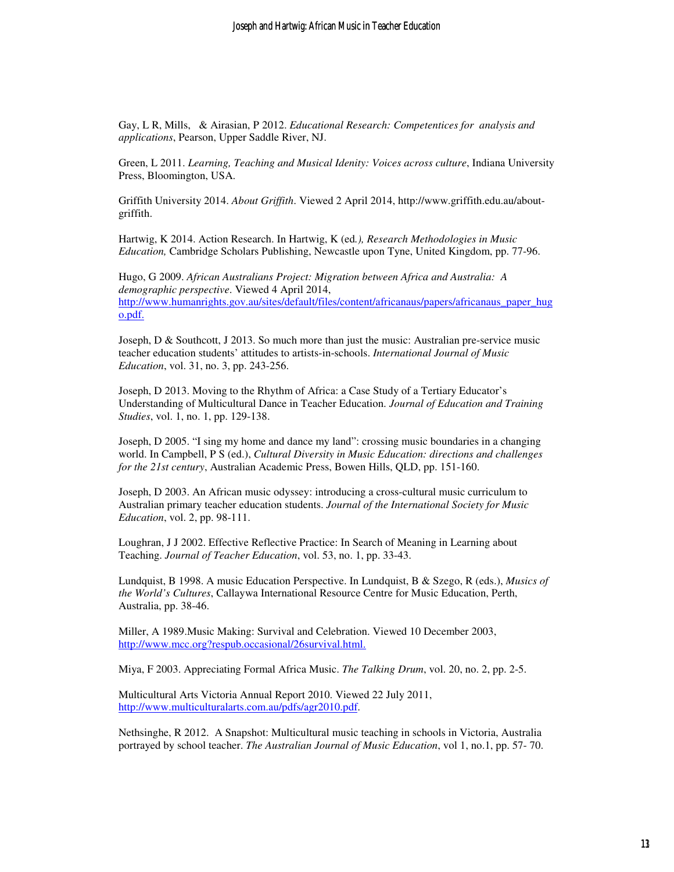Gay, L R, Mills, & Airasian, P 2012. *Educational Research: Competentices for analysis and applications*, Pearson, Upper Saddle River, NJ.

Green, L 2011. *Learning, Teaching and Musical Idenity: Voices across culture*, Indiana University Press, Bloomington, USA.

Griffith University 2014. *About Griffith*. Viewed 2 April 2014, http://www.griffith.edu.au/aboutgriffith.

Hartwig, K 2014. Action Research. In Hartwig, K (ed*.), Research Methodologies in Music Education,* Cambridge Scholars Publishing, Newcastle upon Tyne, United Kingdom, pp. 77-96.

Hugo, G 2009. *African Australians Project: Migration between Africa and Australia: A demographic perspective*. Viewed 4 April 2014, http://www.humanrights.gov.au/sites/default/files/content/africanaus/papers/africanaus\_paper\_hug o.pdf.

Joseph, D & Southcott, J 2013. So much more than just the music: Australian pre-service music teacher education students' attitudes to artists-in-schools. *International Journal of Music Education*, vol. 31, no. 3, pp. 243-256.

Joseph, D 2013. Moving to the Rhythm of Africa: a Case Study of a Tertiary Educator's Understanding of Multicultural Dance in Teacher Education. *Journal of Education and Training Studies*, vol. 1, no. 1, pp. 129-138.

Joseph, D 2005. "I sing my home and dance my land": crossing music boundaries in a changing world. In Campbell, P S (ed.), *Cultural Diversity in Music Education: directions and challenges for the 21st century*, Australian Academic Press, Bowen Hills, QLD, pp. 151-160.

Joseph, D 2003. An African music odyssey: introducing a cross-cultural music curriculum to Australian primary teacher education students. *Journal of the International Society for Music Education*, vol. 2, pp. 98-111.

Loughran, J J 2002. Effective Reflective Practice: In Search of Meaning in Learning about Teaching. *Journal of Teacher Education*, vol. 53, no. 1, pp. 33-43.

Lundquist, B 1998. A music Education Perspective. In Lundquist, B & Szego, R (eds.), *Musics of the World's Cultures*, Callaywa International Resource Centre for Music Education, Perth, Australia, pp. 38-46.

Miller, A 1989.Music Making: Survival and Celebration. Viewed 10 December 2003, http://www.mcc.org?respub.occasional/26survival.html.

Miya, F 2003. Appreciating Formal Africa Music. *The Talking Drum*, vol. 20, no. 2, pp. 2-5.

Multicultural Arts Victoria Annual Report 2010. Viewed 22 July 2011, http://www.multiculturalarts.com.au/pdfs/agr2010.pdf.

Nethsinghe, R 2012. A Snapshot: Multicultural music teaching in schools in Victoria, Australia portrayed by school teacher. *The Australian Journal of Music Education*, vol 1, no.1, pp. 57- 70.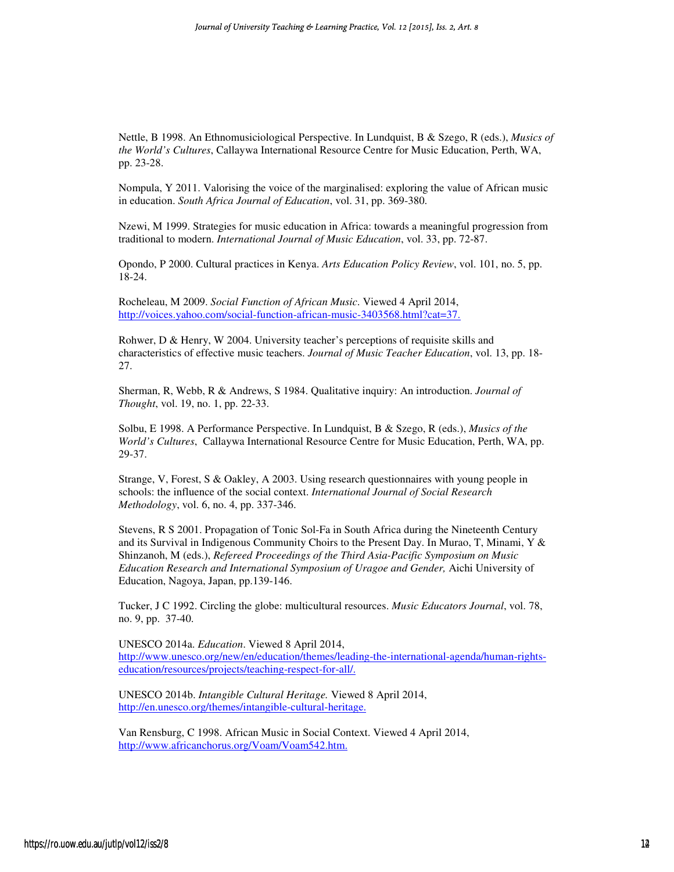Nettle, B 1998. An Ethnomusiciological Perspective. In Lundquist, B & Szego, R (eds.), *Musics of the World's Cultures*, Callaywa International Resource Centre for Music Education, Perth, WA, pp. 23-28.

Nompula, Y 2011. Valorising the voice of the marginalised: exploring the value of African music in education. *South Africa Journal of Education*, vol. 31, pp. 369-380.

Nzewi, M 1999. Strategies for music education in Africa: towards a meaningful progression from traditional to modern. *International Journal of Music Education*, vol. 33, pp. 72-87.

Opondo, P 2000. Cultural practices in Kenya. *Arts Education Policy Review*, vol. 101, no. 5, pp. 18-24.

Rocheleau, M 2009. *Social Function of African Music*. Viewed 4 April 2014, http://voices.yahoo.com/social-function-african-music-3403568.html?cat=37.

Rohwer, D & Henry, W 2004. University teacher's perceptions of requisite skills and characteristics of effective music teachers. *Journal of Music Teacher Education*, vol. 13, pp. 18- 27.

Sherman, R, Webb, R & Andrews, S 1984. Qualitative inquiry: An introduction. *Journal of Thought*, vol. 19, no. 1, pp. 22-33.

Solbu, E 1998. A Performance Perspective. In Lundquist, B & Szego, R (eds.), *Musics of the World's Cultures*, Callaywa International Resource Centre for Music Education, Perth, WA, pp. 29-37.

Strange, V, Forest, S & Oakley, A 2003. Using research questionnaires with young people in schools: the influence of the social context. *International Journal of Social Research Methodology*, vol. 6, no. 4, pp. 337-346.

Stevens, R S 2001. Propagation of Tonic Sol-Fa in South Africa during the Nineteenth Century and its Survival in Indigenous Community Choirs to the Present Day. In Murao, T, Minami, Y & Shinzanoh, M (eds.), *Refereed Proceedings of the Third Asia-Pacific Symposium on Music Education Research and International Symposium of Uragoe and Gender,* Aichi University of Education, Nagoya, Japan, pp.139-146.

Tucker, J C 1992. Circling the globe: multicultural resources. *Music Educators Journal*, vol. 78, no. 9, pp. 37-40.

UNESCO 2014a. *Education*. Viewed 8 April 2014, http://www.unesco.org/new/en/education/themes/leading-the-international-agenda/human-rightseducation/resources/projects/teaching-respect-for-all/.

UNESCO 2014b. *Intangible Cultural Heritage.* Viewed 8 April 2014, http://en.unesco.org/themes/intangible-cultural-heritage.

Van Rensburg, C 1998. African Music in Social Context. Viewed 4 April 2014, http://www.africanchorus.org/Voam/Voam542.htm.